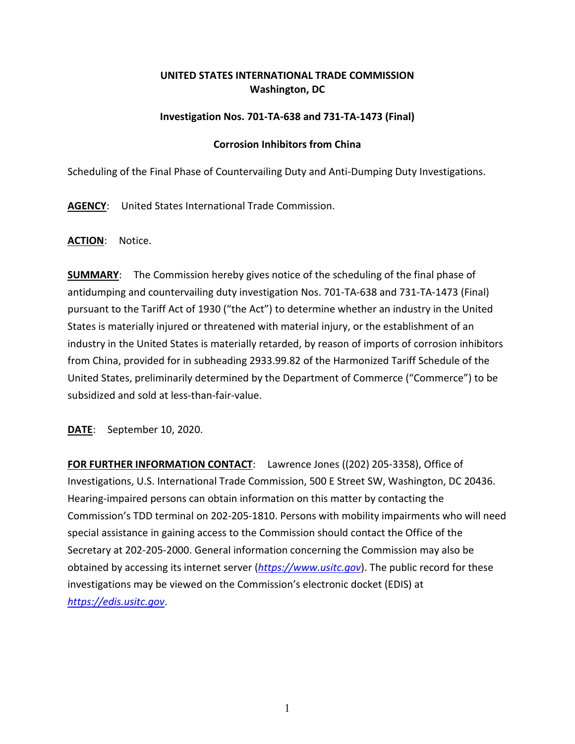## **UNITED STATES INTERNATIONAL TRADE COMMISSION Washington, DC**

## **Investigation Nos. 701-TA-638 and 731-TA-1473 (Final)**

## **Corrosion Inhibitors from China**

Scheduling of the Final Phase of Countervailing Duty and Anti-Dumping Duty Investigations.

**AGENCY**: United States International Trade Commission.

**ACTION**: Notice.

**SUMMARY**: The Commission hereby gives notice of the scheduling of the final phase of antidumping and countervailing duty investigation Nos. 701-TA-638 and 731-TA-1473 (Final) pursuant to the Tariff Act of 1930 ("the Act") to determine whether an industry in the United States is materially injured or threatened with material injury, or the establishment of an industry in the United States is materially retarded, by reason of imports of corrosion inhibitors from China, provided for in subheading 2933.99.82 of the Harmonized Tariff Schedule of the United States, preliminarily determined by the Department of Commerce ("Commerce") to be subsidized and sold at less-than-fair-value.

**DATE**: September 10, 2020.

**FOR FURTHER INFORMATION CONTACT**: Lawrence Jones ((202) 205-3358), Office of Investigations, U.S. International Trade Commission, 500 E Street SW, Washington, DC 20436. Hearing-impaired persons can obtain information on this matter by contacting the Commission's TDD terminal on 202-205-1810. Persons with mobility impairments who will need special assistance in gaining access to the Commission should contact the Office of the Secretary at 202-205-2000. General information concerning the Commission may also be obtained by accessing its internet server (*[https://www.usitc.gov](https://www.usitc.gov/)*). The public record for these investigations may be viewed on the Commission's electronic docket (EDIS) at *[https://edis.usitc.gov](https://edis.usitc.gov/)*.

1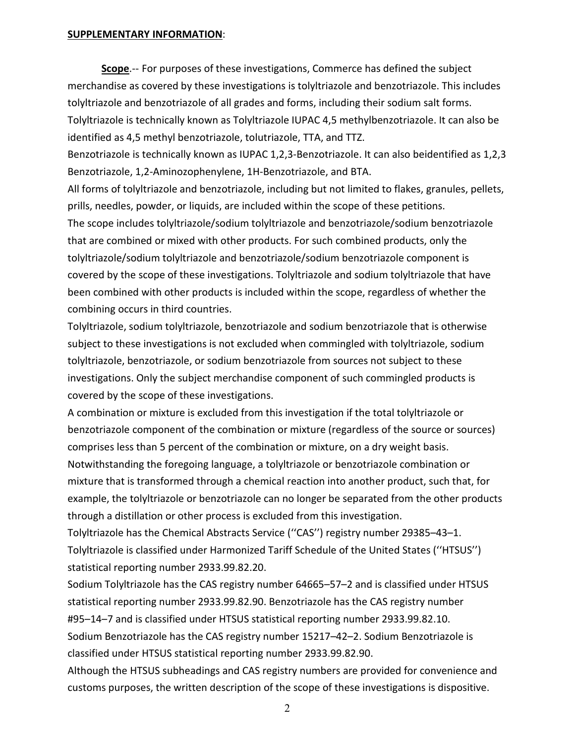## **SUPPLEMENTARY INFORMATION**:

**Scope**.-- For purposes of these investigations, Commerce has defined the subject merchandise as covered by these investigations is tolyltriazole and benzotriazole. This includes tolyltriazole and benzotriazole of all grades and forms, including their sodium salt forms. Tolyltriazole is technically known as Tolyltriazole IUPAC 4,5 methylbenzotriazole. It can also be identified as 4,5 methyl benzotriazole, tolutriazole, TTA, and TTZ.

Benzotriazole is technically known as IUPAC 1,2,3-Benzotriazole. It can also beidentified as 1,2,3 Benzotriazole, 1,2-Aminozophenylene, 1H-Benzotriazole, and BTA.

All forms of tolyltriazole and benzotriazole, including but not limited to flakes, granules, pellets, prills, needles, powder, or liquids, are included within the scope of these petitions.

The scope includes tolyltriazole/sodium tolyltriazole and benzotriazole/sodium benzotriazole that are combined or mixed with other products. For such combined products, only the tolyltriazole/sodium tolyltriazole and benzotriazole/sodium benzotriazole component is covered by the scope of these investigations. Tolyltriazole and sodium tolyltriazole that have been combined with other products is included within the scope, regardless of whether the combining occurs in third countries.

Tolyltriazole, sodium tolyltriazole, benzotriazole and sodium benzotriazole that is otherwise subject to these investigations is not excluded when commingled with tolyltriazole, sodium tolyltriazole, benzotriazole, or sodium benzotriazole from sources not subject to these investigations. Only the subject merchandise component of such commingled products is covered by the scope of these investigations.

A combination or mixture is excluded from this investigation if the total tolyltriazole or benzotriazole component of the combination or mixture (regardless of the source or sources) comprises less than 5 percent of the combination or mixture, on a dry weight basis. Notwithstanding the foregoing language, a tolyltriazole or benzotriazole combination or mixture that is transformed through a chemical reaction into another product, such that, for example, the tolyltriazole or benzotriazole can no longer be separated from the other products through a distillation or other process is excluded from this investigation.

Tolyltriazole has the Chemical Abstracts Service (''CAS'') registry number 29385–43–1. Tolyltriazole is classified under Harmonized Tariff Schedule of the United States (''HTSUS'') statistical reporting number 2933.99.82.20.

Sodium Tolyltriazole has the CAS registry number 64665–57–2 and is classified under HTSUS statistical reporting number 2933.99.82.90. Benzotriazole has the CAS registry number #95–14–7 and is classified under HTSUS statistical reporting number 2933.99.82.10. Sodium Benzotriazole has the CAS registry number 15217–42–2. Sodium Benzotriazole is classified under HTSUS statistical reporting number 2933.99.82.90.

Although the HTSUS subheadings and CAS registry numbers are provided for convenience and customs purposes, the written description of the scope of these investigations is dispositive.

2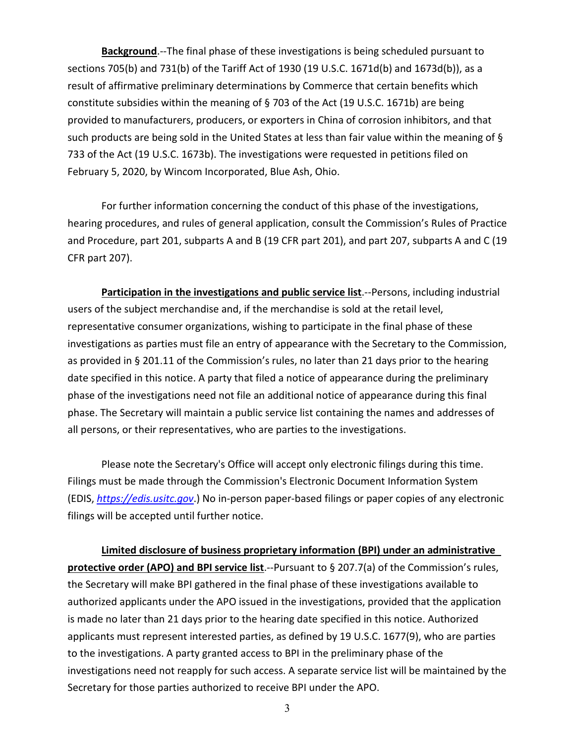**Background**.--The final phase of these investigations is being scheduled pursuant to sections 705(b) and 731(b) of the Tariff Act of 1930 (19 U.S.C. 1671d(b) and 1673d(b)), as a result of affirmative preliminary determinations by Commerce that certain benefits which constitute subsidies within the meaning of § 703 of the Act (19 U.S.C. 1671b) are being provided to manufacturers, producers, or exporters in China of corrosion inhibitors, and that such products are being sold in the United States at less than fair value within the meaning of § 733 of the Act (19 U.S.C. 1673b). The investigations were requested in petitions filed on February 5, 2020, by Wincom Incorporated, Blue Ash, Ohio.

For further information concerning the conduct of this phase of the investigations, hearing procedures, and rules of general application, consult the Commission's Rules of Practice and Procedure, part 201, subparts A and B (19 CFR part 201), and part 207, subparts A and C (19 CFR part 207).

**Participation in the investigations and public service list.**--Persons, including industrial users of the subject merchandise and, if the merchandise is sold at the retail level, representative consumer organizations, wishing to participate in the final phase of these investigations as parties must file an entry of appearance with the Secretary to the Commission, as provided in § 201.11 of the Commission's rules, no later than 21 days prior to the hearing date specified in this notice. A party that filed a notice of appearance during the preliminary phase of the investigations need not file an additional notice of appearance during this final phase. The Secretary will maintain a public service list containing the names and addresses of all persons, or their representatives, who are parties to the investigations.

Please note the Secretary's Office will accept only electronic filings during this time. Filings must be made through the Commission's Electronic Document Information System (EDIS, *[https://edis.usitc.gov](https://edis.usitc.gov/)*.) No in-person paper-based filings or paper copies of any electronic filings will be accepted until further notice.

**Limited disclosure of business proprietary information (BPI) under an administrative protective order (APO) and BPI service list**.--Pursuant to § 207.7(a) of the Commission's rules, the Secretary will make BPI gathered in the final phase of these investigations available to authorized applicants under the APO issued in the investigations, provided that the application is made no later than 21 days prior to the hearing date specified in this notice. Authorized applicants must represent interested parties, as defined by 19 U.S.C. 1677(9), who are parties to the investigations. A party granted access to BPI in the preliminary phase of the investigations need not reapply for such access. A separate service list will be maintained by the Secretary for those parties authorized to receive BPI under the APO.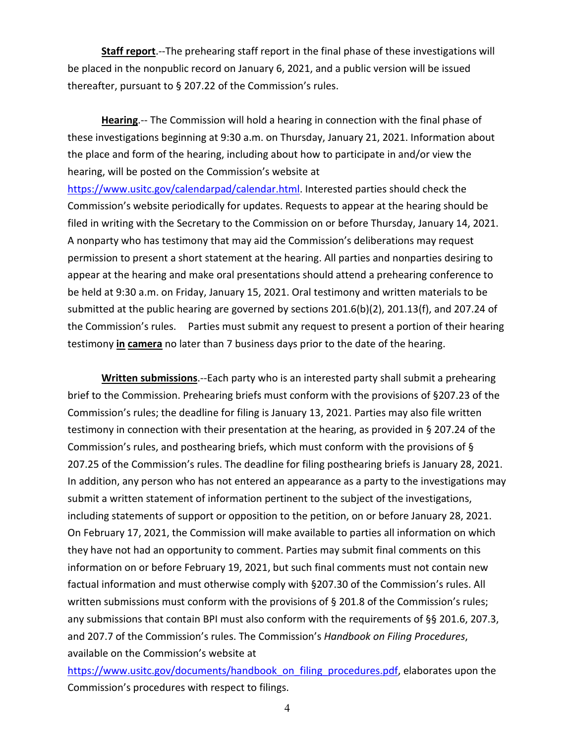**Staff report**.--The prehearing staff report in the final phase of these investigations will be placed in the nonpublic record on January 6, 2021, and a public version will be issued thereafter, pursuant to § 207.22 of the Commission's rules.

**Hearing**.-- The Commission will hold a hearing in connection with the final phase of these investigations beginning at 9:30 a.m. on Thursday, January 21, 2021. Information about the place and form of the hearing, including about how to participate in and/or view the hearing, will be posted on the Commission's website at

[https://www.usitc.gov/calendarpad/calendar.html.](https://www.usitc.gov/calendarpad/calendar.html) Interested parties should check the Commission's website periodically for updates. Requests to appear at the hearing should be filed in writing with the Secretary to the Commission on or before Thursday, January 14, 2021. A nonparty who has testimony that may aid the Commission's deliberations may request permission to present a short statement at the hearing. All parties and nonparties desiring to appear at the hearing and make oral presentations should attend a prehearing conference to be held at 9:30 a.m. on Friday, January 15, 2021. Oral testimony and written materials to be submitted at the public hearing are governed by sections 201.6(b)(2), 201.13(f), and 207.24 of the Commission's rules. Parties must submit any request to present a portion of their hearing testimony **in camera** no later than 7 business days prior to the date of the hearing.

**Written submissions**.--Each party who is an interested party shall submit a prehearing brief to the Commission. Prehearing briefs must conform with the provisions of §207.23 of the Commission's rules; the deadline for filing is January 13, 2021. Parties may also file written testimony in connection with their presentation at the hearing, as provided in § 207.24 of the Commission's rules, and posthearing briefs, which must conform with the provisions of § 207.25 of the Commission's rules. The deadline for filing posthearing briefs is January 28, 2021. In addition, any person who has not entered an appearance as a party to the investigations may submit a written statement of information pertinent to the subject of the investigations, including statements of support or opposition to the petition, on or before January 28, 2021. On February 17, 2021, the Commission will make available to parties all information on which they have not had an opportunity to comment. Parties may submit final comments on this information on or before February 19, 2021, but such final comments must not contain new factual information and must otherwise comply with §207.30 of the Commission's rules. All written submissions must conform with the provisions of § 201.8 of the Commission's rules; any submissions that contain BPI must also conform with the requirements of §§ 201.6, 207.3, and 207.7 of the Commission's rules. The Commission's *Handbook on Filing Procedures*, available on the Commission's website at

[https://www.usitc.gov/documents/handbook\\_on\\_filing\\_procedures.pdf,](https://www.usitc.gov/documents/handbook_on_filing_procedures.pdf) elaborates upon the Commission's procedures with respect to filings.